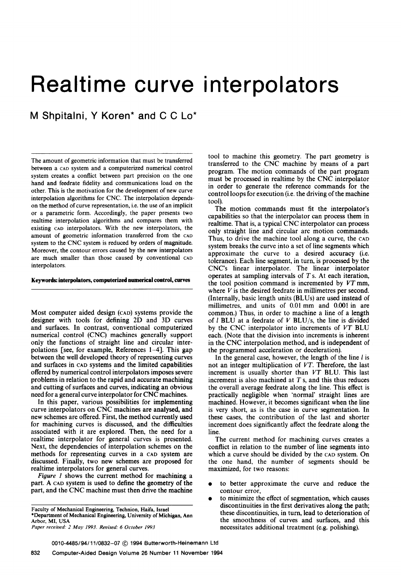# **Realtime curve interpolators**

**M Shpitalni, Y Koren\* and C C Lo\*** 

The amount of geometric information that must be transferred between a CAD system and a computerized numerical control system creates a conflict between part precision on the one hand and feedrate fidelity and communications load on the other. This is the motivation for the development of new curve interpolation algorithms for CNC. The interpolation dependson the method of curve representation, i.e. the use of an implicit or a parametric form. Accordingly, the paper presents two realtime interpolation algorithms and compares them with existing CAD interpolators. With the new interpolators, the amount of geometric information transferred from the CAD system to the *CNC* system is reduced by orders of magnitude. Moreover, the contour errors caused by the new interpolators are much smaller than those caused by conventional CAD interpolators.

#### **Keywords: interpolators, computerized numerical control, curves**

Most computer aided design (CAD) systems provide the designer with tools for defining 2D and 3D curves and surfaces. In contrast, conventional computerized numerical control (CNC) machines generally support only the functions of straight line and circular interpolations [see, for example, References 1-4]. This gap between the well developed theory of representing curves and surfaces in CAD systems and the limited capabilities offered by numerical control interpolators imposes severe problems in relation to the rapid and accurate machining and cutting of surfaces and curves, indicating an obvious need for a general curve interpolator for CNC machines.

In this paper, various possibilities for implementing curve interpolators on CNC machines are analysed, and new schemes are offered. First, the method currently used for machining curves is discussed, and the difficulties associated with it are explored. Then, the need for a realtime interpolator for general curves is presented. Next, the dependencies of interpolation schemes on the methods for representing curves in a CAD system are discussed. Finally, two new schemes are proposed for realtime interpolators for general curves.

*Figure 1* shows the current method for machining a part. A CAD system is used to define the geometry of the part, and the CNC machine must then drive the machine tool to machine this geometry. The part geometry is transferred to the CNC machine by means of a part program. The motion commands of the part program must be processed in realtime by the CNC interpolator in order to generate the reference commands for the control loops for execution (i.e. the driving of the machine tool).

The motion commands must fit the interpolator's capabilities so that the interpolator can process them in realtime. That is, a typical CNC interpolator can process only straight line and circular arc motion commands. Thus, to drive the machine tool along a curve, the CAD system breaks the curve into a set of line segments which approximate the curve to a desired accuracy (i.e. tolerance). Each line segment, in turn, is processed by the CNC's linear interpolator. The linear interpolator operates at sampling intervals of  $T$  s. At each iteration, the tool position command is incremented by *VT* mm, where V is the desired feedrate in millimetres per second. (Internally, basic length units (BLUs) are used instead of millimetres, and units of 0.01 mm and 0.001 in are common.) Thus, in order to machine a line of a length of  $l$  BLU at a feedrate of  $V$  BLU/s, the line is divided by the CNC interpolator into increments of *VT* BLU each. (Note that the division into increments is inherent in the CNC interpolation method, and is independent of the programmed acceleration or deceleration).

In the general case, however, the length of the line  $l$  is not an integer multiplication of *VT.* Therefore, the last increment is usually shorter than *VT* BLU. This last increment is also machined at  $T$  s, and this thus reduces the overall average feedrate along the line. This effect is practically negligible when 'normal' straight lines are machined. However, it becomes significant when the line is very short, as is the case in curve segmentation. In these cases, the contribution of the last and shorter increment does significantly affect the feedrate along the line.

The current method for machining curves creates a conflict in relation to the number of line segments into which a curve should be divided by the CAD system. On the one hand, the number of segments should be maximized, for two reasons:

- to better approximate the curve and reduce the contour error,
- to minimize the effect of segmentation, which causes discontinuities in the first derivatives along the path; these discontinuities, in turn, lead to deterioration of the smoothness of curves and surfaces, and this necessitates additional treatment (e.g. polishing).

Faculty of Mechanical Engineering, Technion, Haifa, **Israel**  \*Department of Mechanical Engineering, University of Michigan, **Ann**  Arbor, MI, USA

*Paper received." 2 May 1993. Revised." 6 October 1993* 

<sup>0010-4485/94/11/0832-07</sup> C 1994 Butterworth-Heinemann Ltd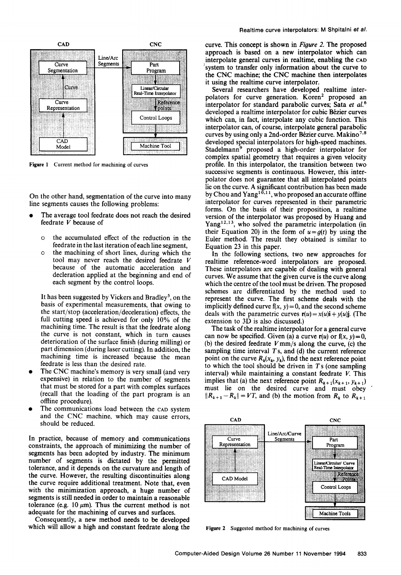

**Figure** 1 Current method for machining of curves

On the other hand, segmentation of the curve into many line segments causes the following problems:

- The average tool feedrate does not reach the desired feedrate V because of
	- the accumulated effect of the reduction in the  $\circ$ feedrate in the last iteration of each line segment,
	- $\Omega$ the machining of short lines, during which the tool may never reach the desired feedrate V because of the automatic acceleration and decleration applied at the beginning and end of each segment by the control loops.

It has been suggested by Vickers and Bradley<sup>5</sup>, on the basis of experimental measurements, that owing to the start/stop (acceleration/deceleration) effects, the full cutting speed is achieved for only 10% of the machining time. The result is that the feedrate along the curve is not constant, which in turn causes deterioration of the surface finish (during milling) or part dimension (during laser cutting). In addition, the machining time is increased because the mean feedrate is less than the desired rate.

- The CNC machine's memory is very small (and very expensive) in relation to the number of segments that must be stored for a part with complex surfaces (recall that the loading of the part program is an offline procedure).
- The communications load between the CAD system and the CNC machine, which may cause errors, should be reduced.

In practice, because of memory and communications constraints, the approach of minimizing the number of segments has been adopted by industry. The minimum number of segments is dictated by the permitted tolerance, and it depends on the curvature and length of the curve. However, the resulting discontinuities along the curve require additional treatment. Note that, even with the minimization approach, a huge number of segments is still needed in order to maintain a reasonable tolerance (e.g. 10  $\mu$ m). Thus the current method is not adequate for the machining of curves and surfaces.

Consequently, a new method needs to be developed which will allow a high and constant feedrate along the curve. This concept is shown in *Figure 2.* The proposed approach is based on a new interpolator which can interpolate general curves in realtime, enabling the CAD system to transfer only information about the curve to the CNC machine; the CNC machine then interpolates it using the realtime curve interpolator.

Several researchers have developed realtime interpolators for curve generation. Koren<sup>2</sup> proposed an interpolator for standard parabolic curves; Sata *et al. 6*  developed a realtime interpolator for cubic Bézier curves which can, in fact, interpolate any cubic function. This interpolator can, of course, interpolate general parabolic curves by using only a 2nd-order Bézier curve. Makino<sup>7,8</sup> developed special interpolators for high-speed machines. Stadelmann<sup>9</sup> proposed a high-order interpolator for complex spatial geometry that requires a given velocity profile. In this interpolator, the transition between two successive segments is continuous. However, this interpolator does not guarantee that all interpolated points lie on the curve. A significant contribution has been made by Chou and Yang<sup>10,11</sup>, who proposed an accurate offline interpolator for curves represented in their parametric forms. On the basis of their proposition, a realtime version of the interpolator was proposed by Huang and Yang<sup>12,13</sup>, who solved the parametric interpolation (in their Equation 20) in the form of  $u = q(t)$  by using the Euler method. The result they obtained is similar to Equation 23 in this paper.

In the following sections, two new approaches for realtime reference-word interpolators are proposed. These interpolators are capable of dealing with general curves. We assume that the given curve is the curve along which the centre of the tool must be driven. The proposed schemes are differentiated by the method used to represent the curve. The first scheme deals with the implicitly defined curve  $f(x, y) = 0$ , and the second scheme deals with the parametric curves  $\mathbf{r}(u) = x(u)\mathbf{i} + y(u)\mathbf{j}$ . (The extension to 3D is also discussed.)

The task of the realtime interpolator for a general curve can now be specified. Given (a) a curve  $r(u)$  or  $f(x, y) = 0$ , (b) the desired feedrate  $V$  mm/s along the curve, (c) the sampling time interval  $T$  s, and (d) the current reference point on the curve  $R_k(x_k, y_k)$ , find the next reference point to which the tool should be driven in  $T s$  (one sampling interval) while maintaining a constant feedrate  $V$ . This implies that (a) the next reference point  $R_{k+1}(x_{k+1}, y_{k+1})$ must lie on the desired curve and must obey  $\|R_{k+1}-R_k\| = VT$ , and (b) the motion from  $R_k$  to  $R_{k+1}$ 



**Figure** 2 Suggested method for machining of curves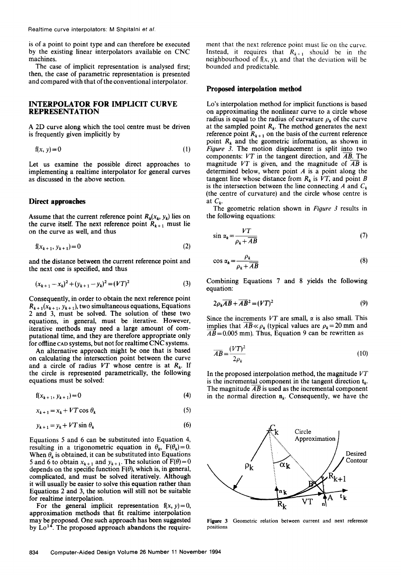Realtime curve interpolators: M Shpitalni *et al.* 

is of a point to point type and can therefore be executed by the existing linear interpolators available on CNC machines.

The case of implicit representation is analysed first; then, the case of parametric representation is presented and compared with that of the conventional interpolator.

# **INTERPOLATOR FOR IMPLICIT CURVE REPRESENTATION**

A 2D curve along which the tool centre must be driven is frequently given implicitly by

$$
f(x, y) = 0 \tag{1}
$$

Let us examine the possible direct approaches to implementing a realtime interpolator for general curves as discussed in the above section.

#### **Direct approaches**

Assume that the current reference point  $R_k(x_k, y_k)$  lies on the curve itself. The next reference point  $R_{k+1}$  must lie on the curve as well, and thus

$$
f(x_{k+1}, y_{k+1}) = 0
$$
 (2)

and the distance between the current reference point and the next one is specified, and thus

$$
(x_{k+1} - x_k)^2 + (y_{k+1} - y_k)^2 = (VT)^2
$$
 (3)

Consequently, in order to obtain the next reference point  $R_{k+1}(x_{k+1}, y_{k+1})$ , two simultaneous equations, Equations 2 and 3, must be solved. The solution of these two equations, in general, must be iterative. However, iterative methods may need a large amount of computational time, and they are therefore appropriate only for offline CAD systems, but not for realtime CNC systems.

An alternative approach might be one that is based on calculating the intersection point between the curve and a circle of radius  $VT$  whose centre is at  $R_k$ . If the circle is represented parametrically, the following equations must be solved:

$$
f(x_{k+1}, y_{k+1}) = 0 \tag{4}
$$

$$
x_{k+1} = x_k + VT \cos \theta_k \tag{5}
$$

$$
y_{k+1} = y_k + VT \sin \theta_k \tag{6}
$$

Equations 5 and 6 can be substituted into Equation 4, resulting in a trigonometric equation in  $\theta_k$ ,  $F(\theta_k)=0$ . When  $\theta_k$  is obtained, it can be substituted into Equations 5 and 6 to obtain  $x_{k+1}$  and  $y_{k+1}$ . The solution of  $F(\theta) = 0$ depends on the specific function  $F(\theta)$ , which is, in general, complicated, and must be solved iteratively. Although it will usually be easier to solve this equation rather than Equations 2 and 3, the solution will still not be suitable for realtime interpolation.

For the general implicit representation  $f(x, y) = 0$ , approximation methods that fit realtime interpolation may be proposed. One such approach has been suggested by  $Lo^{14}$ . The proposed approach abandons the requirement that the next reference point must lie on the curve. Instead, it requires that  $R_{k+1}$  should be in the neighbourhood of  $f(x, y)$ , and that the deviation will be bounded and predictable.

### **Proposed interpolation method**

Lo's interpolation method for implicit functions is based on approximating the nonlinear curve to a circle whose radius is equal to the radius of curvature  $\rho_k$  of the curve at the sampled point  $R_k$ . The method generates the next reference point  $R_{k+1}$  on the basis of the current reference point  $R_k$  and the geometric information, as shown in *Figure 3.* The motion displacement is split into two components: *VT* in the tangent direction, and *AB.* The magnitude  $VT$  is given, and the magnitude of  $\overline{AB}$  is determined below, where point  $A$  is a point along the tangent line whose distance from  $R_k$  is  $VT$ , and point B is the intersection between the line connecting  $\overline{A}$  and  $\overline{C}_k$ (the centre of curvature) and the circle whose centre is at  $C_k$ .

The geometric relation shown in *Figure 3* results in the following equations:

$$
\sin \alpha_k = \frac{VT}{\rho_k + \overline{AB}}\tag{7}
$$

$$
\cos \alpha_k = \frac{\rho_k}{\rho_k + \overline{AB}}
$$
 (8)

Combining Equations 7 and 8 yields the following equation:

$$
2\rho_k \overline{AB} + \overline{AB}^2 = (VT)^2 \tag{9}
$$

Since the increments  $VT$  are small,  $\alpha$  is also small. This implies that  $\overline{AB} \ll \rho_k$  (typical values are  $\rho_k = 20$  mm and  $\overline{AB}$ =0.005 mm). Thus, Equation 9 can be rewritten as

$$
\overline{AB} = \frac{(VT)^2}{2\rho_k} \tag{10}
$$

In the proposed interpolation method, the magnitude *VT*  is the incremental component in the tangent direction  $t_k$ . The magnitude  $\overrightarrow{AB}$  is used as the incremental component in the normal direction  $n_k$ . Consequently, we have the



**Figure** 3 Geometric relation between current and next reference positions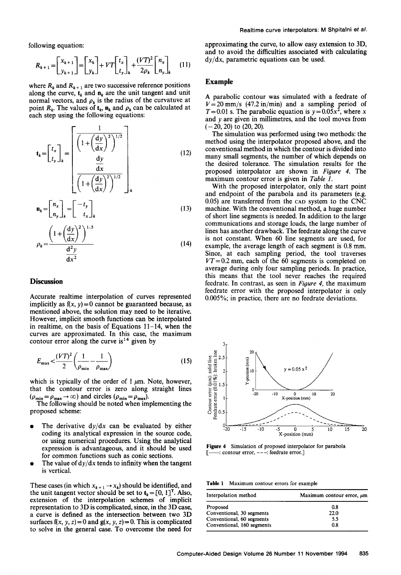following equation:

$$
R_{k+1} = \begin{bmatrix} x_{k+1} \\ y_{k+1} \end{bmatrix} = \begin{bmatrix} x_k \\ y_k \end{bmatrix} + VT \begin{bmatrix} t_x \\ t_y \end{bmatrix}_k + \frac{(VT)^2}{2\rho_k} \begin{bmatrix} n_x \\ n_y \end{bmatrix}_k \tag{11}
$$

where  $R_k$  and  $R_{k+1}$  are two successive reference positions along the curve,  $t_k$  and  $n_k$  are the unit tangent and unit normal vectors, and  $\rho_k$  is the radius of the curvatuve at point  $R_k$ . The values of  $t_k$ ,  $n_k$  and  $\rho_k$  can be calculated at each step using the following equations:

$$
\mathbf{t}_{k} = \begin{bmatrix} t_{x} \\ t_{y} \end{bmatrix}_{k} = \begin{bmatrix} \frac{1}{\left(1 + \left(\frac{dy}{dx}\right)^{2}\right)^{1/2}} \\ \frac{dy}{dx} \\ \frac{1}{\left(1 + \left(\frac{dy}{dx}\right)^{2}\right)^{1/2}} \end{bmatrix}_{k}
$$
(12)

$$
\mathbf{n}_{k} = \begin{bmatrix} n_{x} \\ n_{y} \end{bmatrix}_{k} = \begin{bmatrix} -t_{y} \\ t_{x} \end{bmatrix}_{k}
$$
 (13)

$$
\rho_k = \frac{\left(1 + \left(\frac{\mathrm{d}y}{\mathrm{d}x}\right)^2\right)^{1.5}}{\frac{\mathrm{d}^2 y}{\mathrm{d}x^2}}\tag{14}
$$

## **Discussion**

Accurate realtime interpolation of curves represented implicitly as  $f(x, y) = 0$  cannot be guaranteed because, as mentioned above, the solution may need to be iterative. However, implicit smooth functions can be interpolated in realtime, on the basis of Equations 11-14, when the curves are approximated. In this case, the maximum contour error along the curve  $is^{14}$  given by

$$
E_{\max} < \frac{(VT)^2}{2} \left( \frac{1}{\rho_{\min}} - \frac{1}{\rho_{\max}} \right)
$$
 (15)

which is typically of the order of 1  $\mu$ m. Note, however, that the contour error is zero along straight lines  $(\rho_{\min} = \rho_{\max} \rightarrow \infty)$  and circles  $(\rho_{\min} = \rho_{\max})$ .

The following should be noted when implementing the proposed scheme:

- The derivative  $dy/dx$  can be evaluated by either coding its analytical expression in the source code, or using numerical procedures. Using the analytical expression is advantageous, and it should be used for common functions such as conic sections.
- The value of  $dy/dx$  tends to infinity when the tangent is vertical.

These cases (in which  $x_{k+1} \rightarrow x_k$ ) should be identified, and the unit tangent vector should be set to  $t_k = [0, 1]^T$ . Also, extension of the interpolation schemes of implicit representation to 3D is complicated, since, in the 3D case, a curve is defined as the intersection between two 3D surfaces  $f(x, y, z) = 0$  and  $g(x, y, z) = 0$ . This is complicated to solve in the general case. To overcome the need for approximating the curve, to allow easy extension to 3D, and to avoid the difficulties associated with calculating *dy/dx,* parametric equations can be used.

## **Example**

A parabolic contour was simulated with a feedrate of  $V = 20$  mm/s (47.2 in/min) and a sampling period of  $T=0.01$  s. The parabolic equation is  $y=0.05x^2$ , where x and  $y$  are given in millimetres, and the tool moves from  $(-20, 20)$  to  $(20, 20)$ .

The simulation was performed using two methods: the method using the interpolator proposed above, and the conventional method in which the contour is divided into many small segments, the number of which depends on the desired tolerance. The simulation results for the proposed interpolator are shown in *Figure 4.* The maximum contour error is given in *Table 1.* 

With the proposed interpolator, only the start point and endpoint of the parabola and its parameters (e.g. 0.05) are transferred from the CAD system to the CNC machine. With the conventional method, a huge number of short line segments is needed. In addition to the large communications and storage loads, the large number of lines has another drawback. The feedrate along the curve is not constant. When 60 line segments are used, for example, the average length of each segment is 0.8 mm. Since, at each sampling period, the tool traverses  $VT = 0.2$  mm, each of the 60 segments is completed on average during only four sampling periods. In practice, this means that the tool never reaches the required feedrate. In contrast, as seen in *Figure 4,* the maximum feedrate error with the proposed interpolator is only 0.005%; in practice, there are no feedrate deviations.



Figure 4 Simulation of proposed interpolator for parabola  $\therefore$ : contour error,  $---$ : feedrate error.]

Table 1 Maximum contour errors for example

| Interpolation method       | Maximum contour error, $\mu$ m |  |
|----------------------------|--------------------------------|--|
| Proposed                   | 0.8                            |  |
| Conventional, 30 segments  | 22.0                           |  |
| Conventional, 60 segments  | 5.5                            |  |
| Conventional, 160 segments | 0.8                            |  |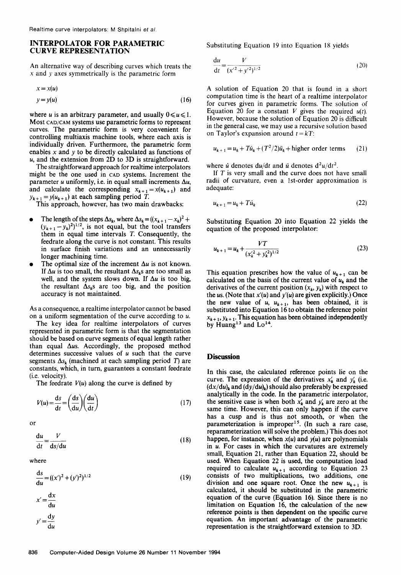## **INTERPOLATOR FOR PARAMETRIC**  CURVE REPRESENTATION

An alternative way of describing curves which treats the  $x$  and  $y$  axes symmetrically is the parametric form

$$
x = x(u)
$$
  
y = y(u) (16)

where u is an arbitrary parameter, and usually  $0 \le u \le 1$ . Most CAD/CAM systems use parametric forms to represent curves. The parametric form is very convenient for controlling multiaxis machine tools, where each axis is individually driven. Furthermore, the parametric form enables  $x$  and  $y$  to be directly calculated as functions of  $u$ , and the extension from 2D to 3D is straightforward.

The straightforward approach for realtime interpolators might be the one used in CAD systems. Increment the parameter u uniformly, i.e. in equal small increments  $\Delta u$ , and calculate the corresponding  $x_{k+1} = x(u_{k+1})$  and  $y_{k+1} = y(u_{k+1})$  at each sampling period T.

This approach, however, has two main drawbacks:

- The length of the steps  $\Delta s_k$ , where  $\Delta s_k = ((x_{k+1} x_k)^2 +$  $(y_{k+1}-y_k)^2$ <sup>1/2</sup>, is not equal, but the tool transfers them in equal time intervals T. Consequently, the feedrate along the curve is not constant. This results in surface finish variations and an unnecessarily longer machining time.
- The optimal size of the increment  $\Delta u$  is not known. If  $\Delta u$  is too small, the resultant  $\Delta s_k$ s are too small as well, and the system slows down. If  $\Delta u$  is too big, the resultant  $\Delta s_k$ s are too big, and the position accuracy is not maintained.

As a consequence, a realtime interpolator cannot be based on a uniform segmentation of the curve according to u.

The key idea for realtime interpolators of curves represented in parametric form is that the segmentation should be based on curve segments of equal length rather than equal  $\Delta u$ s. Accordingly, the proposed method determines successive values of  $u$  such that the curve segments  $\Delta s_k$  (machined at each sampling period T) are constants, which, in turn, guarantees a constant feedrate (i.e. velocity).

The feedrate  $V(u)$  along the curve is defined by

$$
V(u) = \frac{ds}{dt} = \left(\frac{ds}{du}\right)\left(\frac{du}{dt}\right)
$$
 (17)

or

$$
\frac{\mathrm{d}u}{\mathrm{d}t} = \frac{V}{\mathrm{d}s/\mathrm{d}u} \tag{18}
$$

where

$$
\frac{ds}{du} = ((x')^2 + (y')^2)^{1/2}
$$
\n
$$
x' = \frac{dx}{du}
$$
\n
$$
y' = \frac{dy}{du}
$$
\n(19)

Substituting Equation 19 into Equation 18 yields

$$
\frac{du}{dt} = \frac{V}{(x'^2 + y'^2)^{1/2}}
$$
(20)

A solution of Equation 20 that is found in a short computation time is the heart of a realtime interpolator for curves given in parametric forms. The solution of Equation 20 for a constant V gives the required  $u(t)$ . However, because the solution of Equation 20 is difficult in the general case, we may use a recursive solution based on Taylor's expansion around  $t = kT$ :

$$
u_{k+1} = u_k + T\dot{u}_k + (T^2/2)\ddot{u}_k + \text{higher order terms} \qquad (21)
$$

where *u* denotes  $du/dt$  and *u* denotes  $d^2u/dt^2$ .

If  $T$  is very small and the curve does not have small radii of curvature, even a 1st-order approximation is adequate:

$$
u_{k+1} = u_k + T\dot{u}_k \tag{22}
$$

Substituting Equation 20 into Equation 22 yields the equation of the proposed interpolator:

$$
u_{k+1} = u_k + \frac{VT}{(x_k^2 + y_k^2)^{1/2}}
$$
 (23)

This equation prescribes how the value of  $u_{k+1}$  can be calculated on the basis of the current value of  $u_k$  and the derivatives of the current position  $(x_k, y_k)$  with respect to the us. (Note that  $x'(u)$  and  $y'(u)$  are given explicitly.) Once the new value of  $u$ ,  $u_{k+1}$ , has been obtained, it is substituted into Equation 16 to obtain the reference point  $x_{k+1}, y_{k+1}$ . This equation has been obtained independently by Huang<sup>13</sup> and  $Lo^{14}$ .

## **Discussion**

In this case, the calculated reference points lie on the curve. The expression of the derivatives  $x'_k$  and  $y'_k$  (i.e.  $(dx/du)_k$  and  $(dy/du)_k$ ) should also preferably be expressed analytically in the code. In the parametric interpolator, the sensitive case is when both  $x'_{k}$  and  $y'_{k}$  are zero at the same time. However, this can only happen if the curve has a cusp and is thus not smooth, or when the parameterization is improper<sup>15</sup>. (In such a rare case, reparameterization will solve the problem.) This does not happen, for instance, when  $x(u)$  and  $y(u)$  are polynomials in u. For cases in which the curvatures are extremely small, Equation 21, rather than Equation 22, should be used. When Equation 22 is used, the computation load required to calculate  $u_{k+1}$  according to Equation 23 consists of two multiplications, two additions, one division and one square root. Once the new  $u_{k+1}$  is calculated, it should be substituted in the parametric equation of the curve (Equation 16), Since there is no limitation on Equation 16, the calculation of the new reference points is then dependent on the specific curve equation. An important advantage of the parametric representation is the straightforward extension to 3D.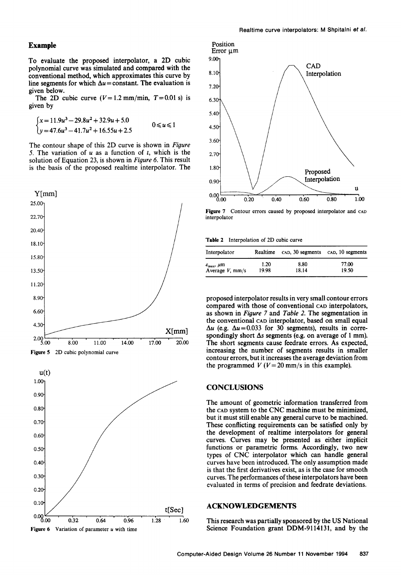To evaluate the proposed interpolator, a 2D cubic polynomial curve was simulated and compared with the conventional method, which approximates this curve by line segments for which  $\Delta u =$ constant. The evaluation is given below.

The 2D cubic curve  $(V= 1.2$  mm/min,  $T=0.01$  s) is given by

$$
\begin{cases} x = 11.9u^3 - 29.8u^2 + 32.9u + 5.0 \\ y = 47.6u^3 - 41.7u^2 + 16.55u + 2.5 \end{cases} \qquad 0 \le u \le 1
$$

The contour shape of this 2D curve is shown in *Figure*  5. The variation of  $u$  as a function of  $t$ , which is the solution of Equation 23, is shown in *Figure 6*. This result is the basis of the proposed realtime interpolator. The



Figure 6 Variation of parameter  $u$  with time



Figure 7 Contour errors caused by proposed interpolator and CAD interpolator

**Table** 2 Interpolation of 2D cubic curve

| Interpolator                         | Realtime | CAD, 30 segments | CAD, 10 segments |
|--------------------------------------|----------|------------------|------------------|
| $\varepsilon_{\text{max}}$ , $\mu$ m | 1.20     | 8.80             | 77.00            |
| Average $V$ , mm/s                   | 19.98    | 18.14            | 19.50            |

proposed interpolator results in very small contour errors compared with those of conventional CAD interpolators, as shown in *Figure 7* and *Table 2.* The segmentation in the conventional CAD interpolator, based on small equal  $\Delta u$  (e.g.  $\Delta u = 0.033$  for 30 segments), results in correspondingly short  $\Delta s$  segments (e.g. on average of 1 mm). The short segments cause feedrate errors. As expected, increasing the number of segments results in smaller contour errors, but it increases the average deviation from the programmed  $V (V = 20 \text{ mm/s}$  in this example).

# **CONCLUSIONS**

The amount of geometric information transferred from the CAD system to the CNC machine must be minimized, but it must still enable any general curve to be machined. These conflicting requirements can be satisfied only by the development of realtime interpolators for general curves. Curves may be presented as either implicit functions or parametric forms. Accordingly, two new types of CNC interpolator which can handle general curves have been introduced. The only assumption made is that the first derivatives exist, as is the case for smooth curves. The performances of these interpolators have been evaluated in terms of precision and feedrate deviations.

#### ACKNOWLEDGEMENTS

This research was partially sponsored by the US National Science Foundation grant DDM-9114131, and by the